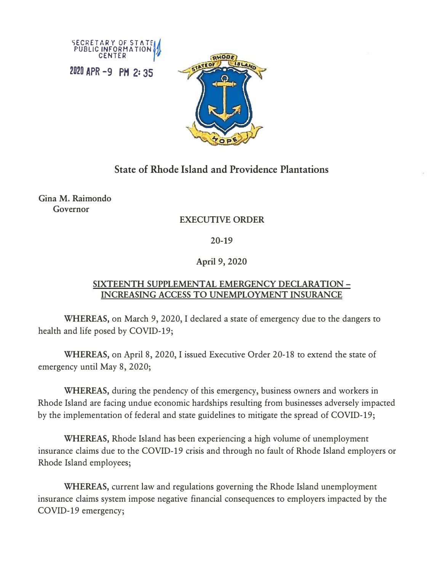



# **State of Rhode Island and Providence Plantations**

**Gina M. Raimondo Governor** 

## **EXECUTIVE ORDER**

### **20-19**

### **April 9, 2020**

#### **SIXTEENTH SUPPLEMENTAL EMERGENCY DECLARATION - INCREASING ACCESS TO UNEMPLOYMENT INSURANCE**

**WHEREAS,** on March 9, 2020, I declared a state of emergency due to the dangers to health and life posed by COVID-19;

**WHEREAS,** on April 8, 2020, I issued Executive Order 20-18 to extend the state of emergency until May 8, 2020;

**WHEREAS,** during the pendency of this emergency, business owners and workers in Rhode Island are facing undue economic hardships resulting from businesses adversely impacted by the implementation of federal and state guidelines to mitigate the spread of COVID-19;

**WHEREAS,** Rhode Island has been experiencing a high volume of unemployment insurance claims due to the COVID-19 crisis and through no fault of Rhode Island employers or Rhode Island employees;

**WHEREAS,** current law and regulations governing the Rhode Island unemployment insurance claims system impose negative financial consequences to employers impacted by the COVID-19 emergency;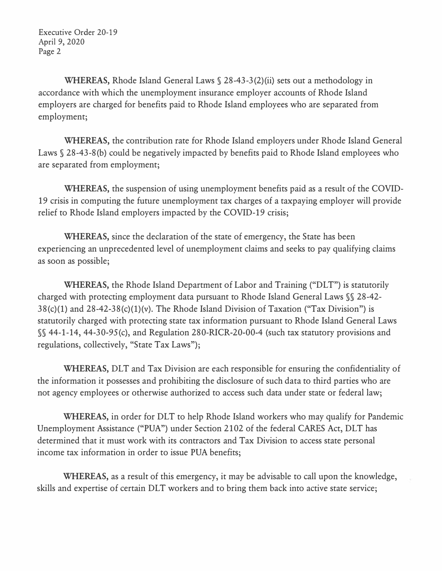Executive Order 20-19 April 9, 2020 Page 2

**WHEREAS,** Rhode Island General Laws§ 28-43-3(2)(ii) sets out a methodology in accordance with which the unemployment insurance employer accounts of Rhode Island employers are charged for benefits paid to Rhode Island employees who are separated from employment;

**WHEREAS,** the contribution rate for Rhode Island employers under Rhode Island General Laws § 28-43-8(b) could be negatively impacted by benefits paid to Rhode Island employees who are separated from employment;

**WHEREAS,** the suspension of using unemployment benefits paid as a result of the COVID-19 crisis in computing the future unemployment tax charges of a taxpaying employer will provide relief to Rhode Island employers impacted by the COVID-19 crisis;

**WHEREAS,** since the declaration of the state of emergency, the State has been experiencing an unprecedented level of unemployment claims and seeks to pay qualifying claims as soon as possible;

**WHEREAS,** the Rhode Island Department of Labor and Training ("DLT") is statutorily charged with protecting employment data pursuant to Rhode Island General Laws§§ 28-42-  $38(c)(1)$  and  $28-42-38(c)(1)(v)$ . The Rhode Island Division of Taxation ("Tax Division") is statutorily charged with protecting state tax information pursuant to Rhode Island General Laws §§ 44-1-14, 44-30-95(c), and Regulation 280-RICR-20-00-4 (such tax statutory provisions and regulations, collectively, "State Tax Laws");

**WHEREAS,** DLT and Tax Division are each responsible for ensuring the confidentiality of the information it possesses and prohibiting the disclosure of such data to third parties who are not agency employees or otherwise authorized to access such data under state or federal law;

**WHEREAS,** in order for DLT to help Rhode Island workers who may qualify for Pandemic Unemployment Assistance ("PUA") under Section 2102 of the federal CARES Act, DLT has determined that it must work with its contractors and Tax Division to access state personal income tax information in order to issue PUA benefits;

**WHEREAS,** as a result of this emergency, it may be advisable to call upon the knowledge, skills and expertise of certain DLT workers and to bring them back into active state service;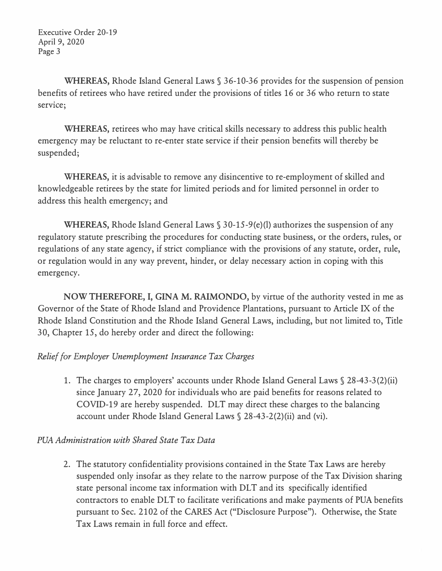Executive Order 20-19 April 9, 2020 Page 3

**WHEREAS,** Rhode Island General Laws§ 36-10-36 provides for the suspension of pension benefits of retirees who have retired under the provisions of titles 16 or 36 who return to state service;

**WHEREAS,** retirees who may have critical skills necessary to address this public health emergency may be reluctant to re-enter state service if their pension benefits will thereby be suspended;

**WHEREAS,** it is advisable to remove any disincentive to re-employment of skilled and knowledgeable retirees by the state for limited periods and for limited personnel in order to address this health emergency; and

**WHEREAS,** Rhode Island General Laws§ 30-15-9(e)(l) authorizes the suspension of any regulatory statute prescribing the procedures for conducting state business, or the orders, rules, or regulations of any state agency, if strict compliance with the provisions of any statute, order, rule, or regulation would in any way prevent, hinder, or delay necessary action in coping with this emergency.

**NOW THEREFORE,** I, **GINA M. RAIMONDO,** by virtue of the authority vested in me as Governor of the State of Rhode Island and Providence Plantations, pursuant to Article IX of the Rhode Island Constitution and the Rhode Island General Laws, including, but not limited to, Title 30, Chapter 15, do hereby order and direct the following:

### *Relief for Employer Unemployment Insurance Tax Charges*

1. The charges to employers' accounts under Rhode Island General Laws§ 28-43-3(2)(ii) since January 27, 2020 for individuals who are paid benefits for reasons related to COVID-19 are hereby suspended. DLT may direct these charges to the balancing account under Rhode Island General Laws§ 28-43-2(2)(ii) and (vi).

#### *PUA Administration with Shared State Tax Data*

2. The statutory confidentiality provisions contained in the State Tax Laws are hereby suspended only insofar as they relate to the narrow purpose of the Tax Division sharing state personal income tax information with DLT and its specifically identified contractors to enable DLT to facilitate verifications and make payments of PUA benefits pursuant to Sec. 2102 of the CARES Act ("Disclosure Purpose"). Otherwise, the State Tax Laws remain in full force and effect.